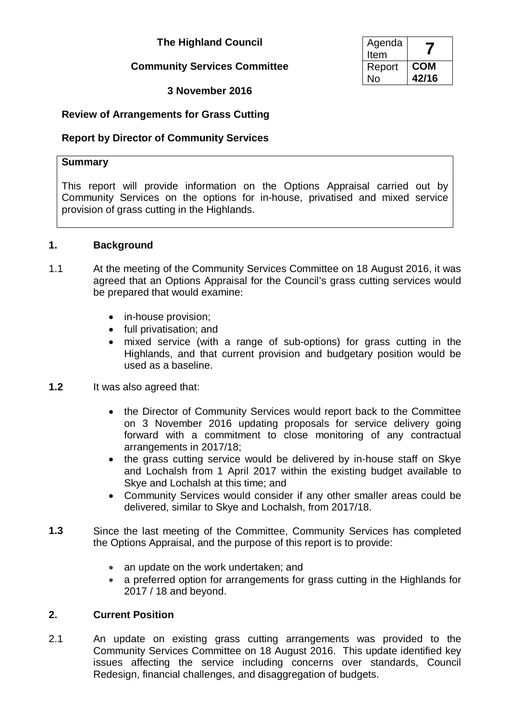## **The Highland Council**

## **Community Services Committee**

**3 November 2016**

| Agenda<br>Item |            |
|----------------|------------|
| Report         | <b>COM</b> |
| Nο             | 42/16      |

# **Review of Arrangements for Grass Cutting**

## **Report by Director of Community Services**

## **Summary**

This report will provide information on the Options Appraisal carried out by Community Services on the options for in-house, privatised and mixed service provision of grass cutting in the Highlands.

#### **1. Background**

- 1.1 At the meeting of the Community Services Committee on 18 August 2016, it was agreed that an Options Appraisal for the Council's grass cutting services would be prepared that would examine:
	- in-house provision;
	- full privatisation; and
	- mixed service (with a range of sub-options) for grass cutting in the Highlands, and that current provision and budgetary position would be used as a baseline.
- **1.2** It was also agreed that:
	- the Director of Community Services would report back to the Committee on 3 November 2016 updating proposals for service delivery going forward with a commitment to close monitoring of any contractual arrangements in 2017/18;
	- the grass cutting service would be delivered by in-house staff on Skye and Lochalsh from 1 April 2017 within the existing budget available to Skye and Lochalsh at this time; and
	- Community Services would consider if any other smaller areas could be delivered, similar to Skye and Lochalsh, from 2017/18.
- **1.3** Since the last meeting of the Committee, Community Services has completed the Options Appraisal, and the purpose of this report is to provide:
	- an update on the work undertaken; and
	- a preferred option for arrangements for grass cutting in the Highlands for 2017 / 18 and beyond.

## **2. Current Position**

2.1 An update on existing grass cutting arrangements was provided to the Community Services Committee on 18 August 2016. This update identified key issues affecting the service including concerns over standards, Council Redesign, financial challenges, and disaggregation of budgets.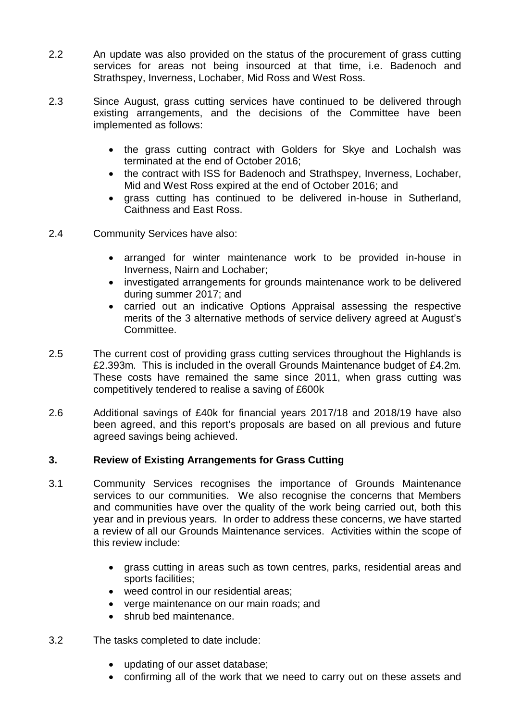- 2.2 An update was also provided on the status of the procurement of grass cutting services for areas not being insourced at that time, i.e. Badenoch and Strathspey, Inverness, Lochaber, Mid Ross and West Ross.
- 2.3 Since August, grass cutting services have continued to be delivered through existing arrangements, and the decisions of the Committee have been implemented as follows:
	- the grass cutting contract with Golders for Skye and Lochalsh was terminated at the end of October 2016;
	- the contract with ISS for Badenoch and Strathspey, Inverness, Lochaber, Mid and West Ross expired at the end of October 2016; and
	- grass cutting has continued to be delivered in-house in Sutherland, Caithness and East Ross.
- 2.4 Community Services have also:
	- arranged for winter maintenance work to be provided in-house in Inverness, Nairn and Lochaber;
	- investigated arrangements for grounds maintenance work to be delivered during summer 2017; and
	- carried out an indicative Options Appraisal assessing the respective merits of the 3 alternative methods of service delivery agreed at August's Committee.
- 2.5 The current cost of providing grass cutting services throughout the Highlands is £2.393m. This is included in the overall Grounds Maintenance budget of £4.2m. These costs have remained the same since 2011, when grass cutting was competitively tendered to realise a saving of £600k
- 2.6 Additional savings of £40k for financial years 2017/18 and 2018/19 have also been agreed, and this report's proposals are based on all previous and future agreed savings being achieved.

## **3. Review of Existing Arrangements for Grass Cutting**

- 3.1 Community Services recognises the importance of Grounds Maintenance services to our communities. We also recognise the concerns that Members and communities have over the quality of the work being carried out, both this year and in previous years. In order to address these concerns, we have started a review of all our Grounds Maintenance services. Activities within the scope of this review include:
	- grass cutting in areas such as town centres, parks, residential areas and sports facilities;
	- weed control in our residential areas;
	- verge maintenance on our main roads; and
	- shrub bed maintenance
- 3.2 The tasks completed to date include:
	- updating of our asset database;
	- confirming all of the work that we need to carry out on these assets and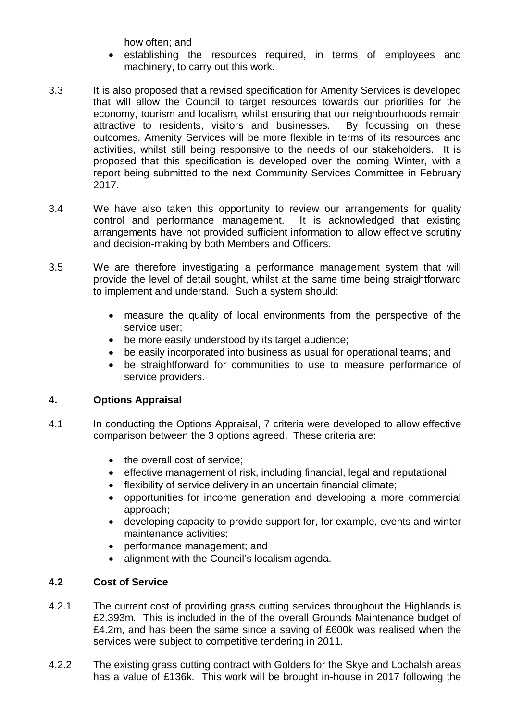how often; and

- establishing the resources required, in terms of employees and machinery, to carry out this work.
- 3.3 It is also proposed that a revised specification for Amenity Services is developed that will allow the Council to target resources towards our priorities for the economy, tourism and localism, whilst ensuring that our neighbourhoods remain attractive to residents, visitors and businesses. By focussing on these outcomes, Amenity Services will be more flexible in terms of its resources and activities, whilst still being responsive to the needs of our stakeholders. It is proposed that this specification is developed over the coming Winter, with a report being submitted to the next Community Services Committee in February 2017.
- 3.4 We have also taken this opportunity to review our arrangements for quality control and performance management. It is acknowledged that existing arrangements have not provided sufficient information to allow effective scrutiny and decision-making by both Members and Officers.
- 3.5 We are therefore investigating a performance management system that will provide the level of detail sought, whilst at the same time being straightforward to implement and understand. Such a system should:
	- measure the quality of local environments from the perspective of the service user;
	- be more easily understood by its target audience;
	- be easily incorporated into business as usual for operational teams; and
	- be straightforward for communities to use to measure performance of service providers.

## **4. Options Appraisal**

- 4.1 In conducting the Options Appraisal, 7 criteria were developed to allow effective comparison between the 3 options agreed. These criteria are:
	- the overall cost of service;
	- effective management of risk, including financial, legal and reputational;
	- flexibility of service delivery in an uncertain financial climate;
	- opportunities for income generation and developing a more commercial approach;
	- developing capacity to provide support for, for example, events and winter maintenance activities;
	- performance management; and
	- alignment with the Council's localism agenda.

## **4.2 Cost of Service**

- 4.2.1 The current cost of providing grass cutting services throughout the Highlands is £2.393m. This is included in the of the overall Grounds Maintenance budget of £4.2m, and has been the same since a saving of £600k was realised when the services were subject to competitive tendering in 2011.
- 4.2.2 The existing grass cutting contract with Golders for the Skye and Lochalsh areas has a value of £136k. This work will be brought in-house in 2017 following the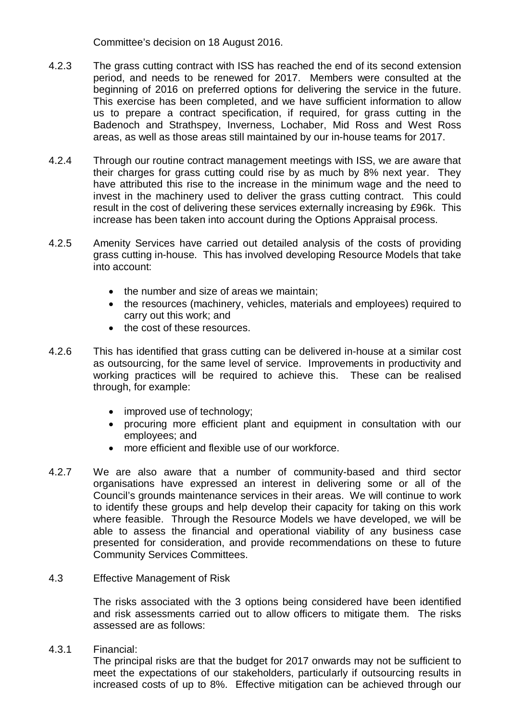Committee's decision on 18 August 2016.

- 4.2.3 The grass cutting contract with ISS has reached the end of its second extension period, and needs to be renewed for 2017. Members were consulted at the beginning of 2016 on preferred options for delivering the service in the future. This exercise has been completed, and we have sufficient information to allow us to prepare a contract specification, if required, for grass cutting in the Badenoch and Strathspey, Inverness, Lochaber, Mid Ross and West Ross areas, as well as those areas still maintained by our in-house teams for 2017.
- 4.2.4 Through our routine contract management meetings with ISS, we are aware that their charges for grass cutting could rise by as much by 8% next year. They have attributed this rise to the increase in the minimum wage and the need to invest in the machinery used to deliver the grass cutting contract. This could result in the cost of delivering these services externally increasing by £96k. This increase has been taken into account during the Options Appraisal process.
- 4.2.5 Amenity Services have carried out detailed analysis of the costs of providing grass cutting in-house. This has involved developing Resource Models that take into account:
	- the number and size of areas we maintain:
	- the resources (machinery, vehicles, materials and employees) required to carry out this work; and
	- the cost of these resources
- 4.2.6 This has identified that grass cutting can be delivered in-house at a similar cost as outsourcing, for the same level of service. Improvements in productivity and working practices will be required to achieve this. These can be realised through, for example:
	- improved use of technology;
	- procuring more efficient plant and equipment in consultation with our employees; and
	- more efficient and flexible use of our workforce.
- 4.2.7 We are also aware that a number of community-based and third sector organisations have expressed an interest in delivering some or all of the Council's grounds maintenance services in their areas. We will continue to work to identify these groups and help develop their capacity for taking on this work where feasible. Through the Resource Models we have developed, we will be able to assess the financial and operational viability of any business case presented for consideration, and provide recommendations on these to future Community Services Committees.
- 4.3 Effective Management of Risk

The risks associated with the 3 options being considered have been identified and risk assessments carried out to allow officers to mitigate them. The risks assessed are as follows:

4.3.1 Financial:

The principal risks are that the budget for 2017 onwards may not be sufficient to meet the expectations of our stakeholders, particularly if outsourcing results in increased costs of up to 8%. Effective mitigation can be achieved through our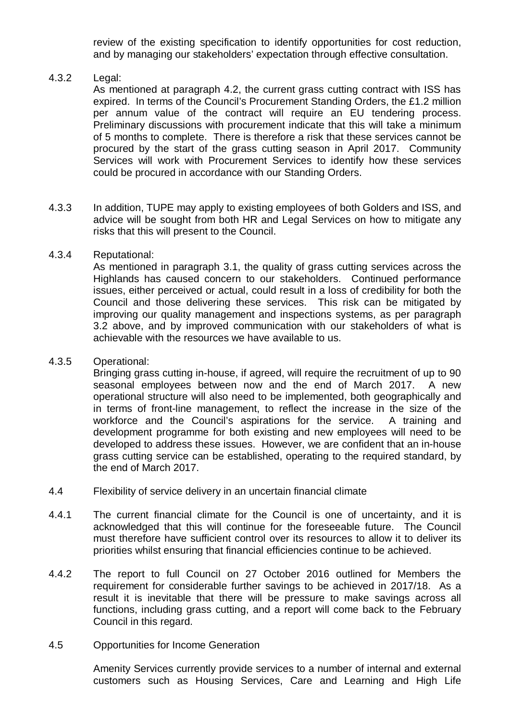review of the existing specification to identify opportunities for cost reduction, and by managing our stakeholders' expectation through effective consultation.

#### 4.3.2 Legal:

As mentioned at paragraph 4.2, the current grass cutting contract with ISS has expired. In terms of the Council's Procurement Standing Orders, the £1.2 million per annum value of the contract will require an EU tendering process. Preliminary discussions with procurement indicate that this will take a minimum of 5 months to complete. There is therefore a risk that these services cannot be procured by the start of the grass cutting season in April 2017. Community Services will work with Procurement Services to identify how these services could be procured in accordance with our Standing Orders.

4.3.3 In addition, TUPE may apply to existing employees of both Golders and ISS, and advice will be sought from both HR and Legal Services on how to mitigate any risks that this will present to the Council.

#### 4.3.4 Reputational:

As mentioned in paragraph 3.1, the quality of grass cutting services across the Highlands has caused concern to our stakeholders. Continued performance issues, either perceived or actual, could result in a loss of credibility for both the Council and those delivering these services. This risk can be mitigated by improving our quality management and inspections systems, as per paragraph 3.2 above, and by improved communication with our stakeholders of what is achievable with the resources we have available to us.

#### 4.3.5 Operational:

Bringing grass cutting in-house, if agreed, will require the recruitment of up to 90 seasonal employees between now and the end of March 2017. A new operational structure will also need to be implemented, both geographically and in terms of front-line management, to reflect the increase in the size of the workforce and the Council's aspirations for the service. A training and development programme for both existing and new employees will need to be developed to address these issues. However, we are confident that an in-house grass cutting service can be established, operating to the required standard, by the end of March 2017.

- 4.4 Flexibility of service delivery in an uncertain financial climate
- 4.4.1 The current financial climate for the Council is one of uncertainty, and it is acknowledged that this will continue for the foreseeable future. The Council must therefore have sufficient control over its resources to allow it to deliver its priorities whilst ensuring that financial efficiencies continue to be achieved.
- 4.4.2 The report to full Council on 27 October 2016 outlined for Members the requirement for considerable further savings to be achieved in 2017/18. As a result it is inevitable that there will be pressure to make savings across all functions, including grass cutting, and a report will come back to the February Council in this regard.
- 4.5 Opportunities for Income Generation

Amenity Services currently provide services to a number of internal and external customers such as Housing Services, Care and Learning and High Life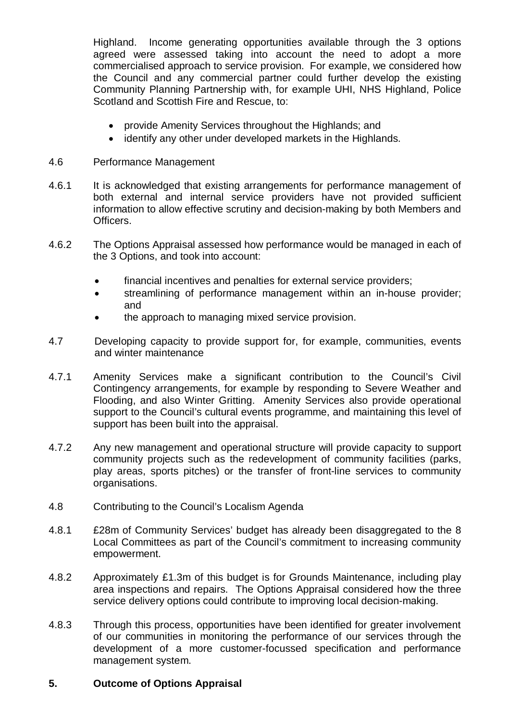Highland. Income generating opportunities available through the 3 options agreed were assessed taking into account the need to adopt a more commercialised approach to service provision. For example, we considered how the Council and any commercial partner could further develop the existing Community Planning Partnership with, for example UHI, NHS Highland, Police Scotland and Scottish Fire and Rescue, to:

- provide Amenity Services throughout the Highlands; and
- identify any other under developed markets in the Highlands.

#### 4.6 Performance Management

- 4.6.1 It is acknowledged that existing arrangements for performance management of both external and internal service providers have not provided sufficient information to allow effective scrutiny and decision-making by both Members and Officers.
- 4.6.2 The Options Appraisal assessed how performance would be managed in each of the 3 Options, and took into account:
	- financial incentives and penalties for external service providers;
	- streamlining of performance management within an in-house provider; and
	- the approach to managing mixed service provision.
- 4.7 Developing capacity to provide support for, for example, communities, events and winter maintenance
- 4.7.1 Amenity Services make a significant contribution to the Council's Civil Contingency arrangements, for example by responding to Severe Weather and Flooding, and also Winter Gritting. Amenity Services also provide operational support to the Council's cultural events programme, and maintaining this level of support has been built into the appraisal.
- 4.7.2 Any new management and operational structure will provide capacity to support community projects such as the redevelopment of community facilities (parks, play areas, sports pitches) or the transfer of front-line services to community organisations.
- 4.8 Contributing to the Council's Localism Agenda
- 4.8.1 E28m of Community Services' budget has already been disaggregated to the 8 Local Committees as part of the Council's commitment to increasing community empowerment.
- 4.8.2 Approximately £1.3m of this budget is for Grounds Maintenance, including play area inspections and repairs. The Options Appraisal considered how the three service delivery options could contribute to improving local decision-making.
- 4.8.3 Through this process, opportunities have been identified for greater involvement of our communities in monitoring the performance of our services through the development of a more customer-focussed specification and performance management system.

#### **5. Outcome of Options Appraisal**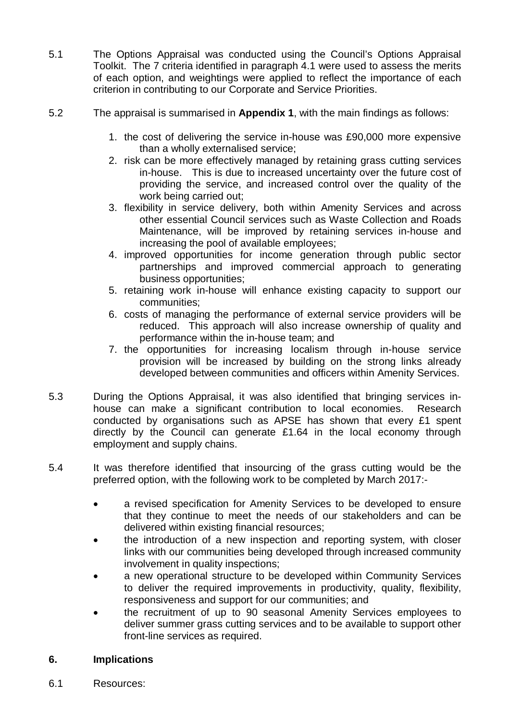- 5.1 The Options Appraisal was conducted using the Council's Options Appraisal Toolkit. The 7 criteria identified in paragraph 4.1 were used to assess the merits of each option, and weightings were applied to reflect the importance of each criterion in contributing to our Corporate and Service Priorities.
- 5.2 The appraisal is summarised in **Appendix 1**, with the main findings as follows:
	- 1. the cost of delivering the service in-house was £90,000 more expensive than a wholly externalised service;
	- 2. risk can be more effectively managed by retaining grass cutting services in-house. This is due to increased uncertainty over the future cost of providing the service, and increased control over the quality of the work being carried out;
	- 3. flexibility in service delivery, both within Amenity Services and across other essential Council services such as Waste Collection and Roads Maintenance, will be improved by retaining services in-house and increasing the pool of available employees;
	- 4. improved opportunities for income generation through public sector partnerships and improved commercial approach to generating business opportunities;
	- 5. retaining work in-house will enhance existing capacity to support our communities;
	- 6. costs of managing the performance of external service providers will be reduced. This approach will also increase ownership of quality and performance within the in-house team; and
	- 7. the opportunities for increasing localism through in-house service provision will be increased by building on the strong links already developed between communities and officers within Amenity Services.
- 5.3 During the Options Appraisal, it was also identified that bringing services inhouse can make a significant contribution to local economies. Research conducted by organisations such as APSE has shown that every £1 spent directly by the Council can generate £1.64 in the local economy through employment and supply chains.
- 5.4 It was therefore identified that insourcing of the grass cutting would be the preferred option, with the following work to be completed by March 2017:-
	- a revised specification for Amenity Services to be developed to ensure that they continue to meet the needs of our stakeholders and can be delivered within existing financial resources;
	- the introduction of a new inspection and reporting system, with closer links with our communities being developed through increased community involvement in quality inspections;
	- a new operational structure to be developed within Community Services to deliver the required improvements in productivity, quality, flexibility, responsiveness and support for our communities; and
	- the recruitment of up to 90 seasonal Amenity Services employees to deliver summer grass cutting services and to be available to support other front-line services as required.

## **6. Implications**

6.1 Resources: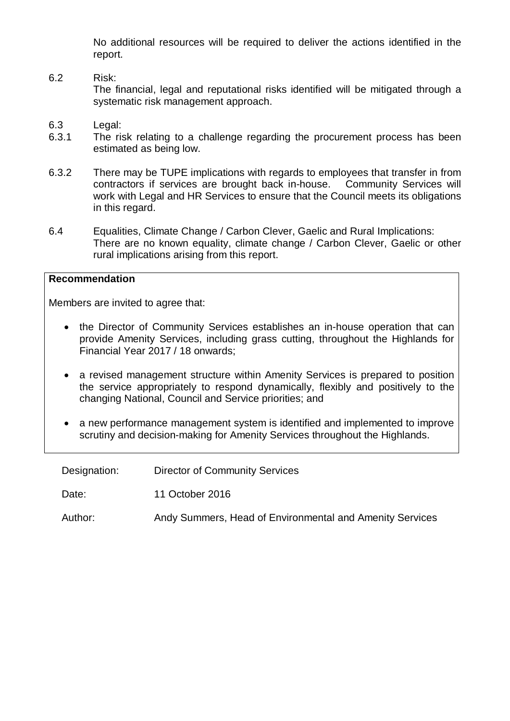No additional resources will be required to deliver the actions identified in the report.

- 6.2 Risk: The financial, legal and reputational risks identified will be mitigated through a systematic risk management approach.
- 6.3 Legal:<br>6.3.1 The ri-
- The risk relating to a challenge regarding the procurement process has been estimated as being low.
- 6.3.2 There may be TUPE implications with regards to employees that transfer in from contractors if services are brought back in-house. Community Services will contractors if services are brought back in-house. work with Legal and HR Services to ensure that the Council meets its obligations in this regard.
- 6.4 Equalities, Climate Change / Carbon Clever, Gaelic and Rural Implications: There are no known equality, climate change / Carbon Clever, Gaelic or other rural implications arising from this report.

#### **Recommendation**

Members are invited to agree that:

- the Director of Community Services establishes an in-house operation that can provide Amenity Services, including grass cutting, throughout the Highlands for Financial Year 2017 / 18 onwards;
- a revised management structure within Amenity Services is prepared to position the service appropriately to respond dynamically, flexibly and positively to the changing National, Council and Service priorities; and
- a new performance management system is identified and implemented to improve scrutiny and decision-making for Amenity Services throughout the Highlands.

| Designation: | <b>Director of Community Services</b>                    |
|--------------|----------------------------------------------------------|
| Date:        | 11 October 2016                                          |
| Author:      | Andy Summers, Head of Environmental and Amenity Services |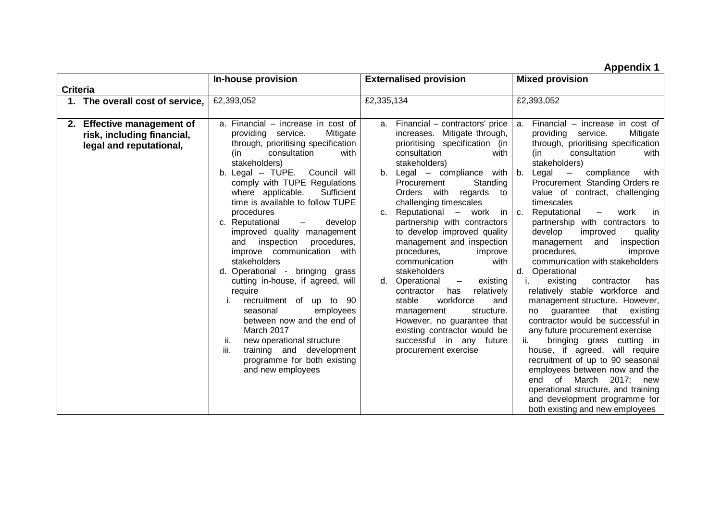**Appendix 1**

|                 |                                                                                     | In-house provision                                                                                                                                                                                                                                                                                                                                                                                                                                                                                                                                                                                                                                                                                                                                                                                         | <b>Externalised provision</b>                                                                                                                                                                                                                                                                                                                                                                                                                                                                                                                                                                                                                                                                                                               | <b>Mixed provision</b>                                                                                                                                                                                                                                                                                                                                                                                                                                                                                                                                                                                                                                                                                                                                                                                                                                                                                                                                                                                                                                            |  |  |  |
|-----------------|-------------------------------------------------------------------------------------|------------------------------------------------------------------------------------------------------------------------------------------------------------------------------------------------------------------------------------------------------------------------------------------------------------------------------------------------------------------------------------------------------------------------------------------------------------------------------------------------------------------------------------------------------------------------------------------------------------------------------------------------------------------------------------------------------------------------------------------------------------------------------------------------------------|---------------------------------------------------------------------------------------------------------------------------------------------------------------------------------------------------------------------------------------------------------------------------------------------------------------------------------------------------------------------------------------------------------------------------------------------------------------------------------------------------------------------------------------------------------------------------------------------------------------------------------------------------------------------------------------------------------------------------------------------|-------------------------------------------------------------------------------------------------------------------------------------------------------------------------------------------------------------------------------------------------------------------------------------------------------------------------------------------------------------------------------------------------------------------------------------------------------------------------------------------------------------------------------------------------------------------------------------------------------------------------------------------------------------------------------------------------------------------------------------------------------------------------------------------------------------------------------------------------------------------------------------------------------------------------------------------------------------------------------------------------------------------------------------------------------------------|--|--|--|
| <b>Criteria</b> |                                                                                     |                                                                                                                                                                                                                                                                                                                                                                                                                                                                                                                                                                                                                                                                                                                                                                                                            |                                                                                                                                                                                                                                                                                                                                                                                                                                                                                                                                                                                                                                                                                                                                             |                                                                                                                                                                                                                                                                                                                                                                                                                                                                                                                                                                                                                                                                                                                                                                                                                                                                                                                                                                                                                                                                   |  |  |  |
|                 | 1. The overall cost of service,                                                     | £2,393,052                                                                                                                                                                                                                                                                                                                                                                                                                                                                                                                                                                                                                                                                                                                                                                                                 | £2,335,134                                                                                                                                                                                                                                                                                                                                                                                                                                                                                                                                                                                                                                                                                                                                  | £2,393,052                                                                                                                                                                                                                                                                                                                                                                                                                                                                                                                                                                                                                                                                                                                                                                                                                                                                                                                                                                                                                                                        |  |  |  |
|                 | 2. Effective management of<br>risk, including financial,<br>legal and reputational, | a. Financial – increase in cost of<br>Mitigate<br>providing service.<br>through, prioritising specification<br>consultation<br>with<br>(in<br>stakeholders)<br>b. Legal - TUPE. Council will<br>comply with TUPE Regulations<br>Sufficient<br>where applicable.<br>time is available to follow TUPE<br>procedures<br>c. Reputational<br>develop<br>$\overline{\phantom{m}}$<br>improved quality management<br>and inspection<br>procedures,<br>improve communication with<br>stakeholders<br>d. Operational -<br>bringing grass<br>cutting in-house, if agreed, will<br>require<br>recruitment of up to 90<br>employees<br>seasonal<br>between now and the end of<br>March 2017<br>new operational structure<br>n.<br>iii.<br>training and development<br>programme for both existing<br>and new employees | a. Financial – contractors' price<br>increases. Mitigate through,<br>prioritising specification (in<br>consultation<br>with<br>stakeholders)<br>b. Legal $-$ compliance with<br>Standing<br>Procurement<br>Orders with<br>regards to<br>challenging timescales<br>Reputational $-$ work in<br>C.<br>partnership with contractors<br>to develop improved quality<br>management and inspection<br>procedures,<br>improve<br>communication<br>with<br>stakeholders<br>existing<br>Operational<br>d.<br>$\overline{\phantom{m}}$<br>relatively<br>contractor<br>has<br>workforce<br>stable<br>and<br>structure.<br>management<br>However, no guarantee that<br>existing contractor would be<br>successful in any future<br>procurement exercise | a. Financial – increase in cost of<br>providing service.<br>Mitigate<br>through, prioritising specification<br>consultation<br>with<br>(in<br>stakeholders)<br>b.<br>Legal<br>compliance<br>$\sim$ $-$<br>with<br>Procurement Standing Orders re<br>value of contract, challenging<br>timescales<br>Reputational<br>$\overline{\phantom{m}}$<br>work<br>C.<br>- in<br>partnership with contractors to<br>develop<br>improved<br>quality<br>management and<br>inspection<br>procedures,<br>improve<br>communication with stakeholders<br>Operational<br>d.<br>existing<br>contractor<br>has<br>relatively stable workforce and<br>management structure. However,<br>guarantee that<br>existing<br>no<br>contractor would be successful in<br>any future procurement exercise<br>ii.<br>bringing grass cutting in<br>house, if agreed, will require<br>recruitment of up to 90 seasonal<br>employees between now and the<br>March 2017; new<br>of<br>end<br>operational structure, and training<br>and development programme for<br>both existing and new employees |  |  |  |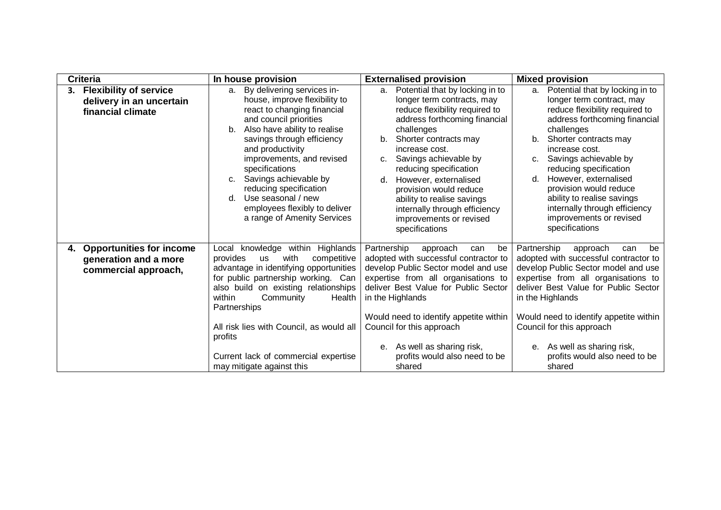| <b>Criteria</b>                                                                        | In house provision                                                                                                                                                                                                                                                                                                                                                                                                              | <b>Externalised provision</b>                                                                                                                                                                                                                                                                                                                                                                                                       | <b>Mixed provision</b>                                                                                                                                                                                                                                                                                                                                                                                                                       |
|----------------------------------------------------------------------------------------|---------------------------------------------------------------------------------------------------------------------------------------------------------------------------------------------------------------------------------------------------------------------------------------------------------------------------------------------------------------------------------------------------------------------------------|-------------------------------------------------------------------------------------------------------------------------------------------------------------------------------------------------------------------------------------------------------------------------------------------------------------------------------------------------------------------------------------------------------------------------------------|----------------------------------------------------------------------------------------------------------------------------------------------------------------------------------------------------------------------------------------------------------------------------------------------------------------------------------------------------------------------------------------------------------------------------------------------|
| <b>Flexibility of service</b><br>delivery in an uncertain<br>financial climate         | By delivering services in-<br>a.<br>house, improve flexibility to<br>react to changing financial<br>and council priorities<br>Also have ability to realise<br>b.<br>savings through efficiency<br>and productivity<br>improvements, and revised<br>specifications<br>Savings achievable by<br>C.<br>reducing specification<br>Use seasonal / new<br>$d_{\cdot}$<br>employees flexibly to deliver<br>a range of Amenity Services | Potential that by locking in to<br>a.<br>longer term contracts, may<br>reduce flexibility required to<br>address forthcoming financial<br>challenges<br>Shorter contracts may<br>b.<br>increase cost.<br>Savings achievable by<br>c.<br>reducing specification<br>However, externalised<br>d.<br>provision would reduce<br>ability to realise savings<br>internally through efficiency<br>improvements or revised<br>specifications | Potential that by locking in to<br>а.<br>longer term contract, may<br>reduce flexibility required to<br>address forthcoming financial<br>challenges<br>Shorter contracts may<br>$b_{-}$<br>increase cost.<br>Savings achievable by<br>$C_{1}$<br>reducing specification<br>However, externalised<br>d.<br>provision would reduce<br>ability to realise savings<br>internally through efficiency<br>improvements or revised<br>specifications |
| <b>Opportunities for income</b><br>4.<br>generation and a more<br>commercial approach, | knowledge within Highlands<br>Local<br>provides<br>with<br>competitive<br><b>us</b><br>advantage in identifying opportunities<br>for public partnership working. Can<br>also build on existing relationships<br>Community<br>within<br>Health<br>Partnerships<br>All risk lies with Council, as would all<br>profits<br>Current lack of commercial expertise<br>may mitigate against this                                       | Partnership<br>approach<br>can<br>be<br>adopted with successful contractor to<br>develop Public Sector model and use<br>expertise from all organisations to<br>deliver Best Value for Public Sector<br>in the Highlands<br>Would need to identify appetite within<br>Council for this approach<br>As well as sharing risk,<br>е.<br>profits would also need to be<br>shared                                                         | Partnership<br>be<br>approach<br>can<br>adopted with successful contractor to<br>develop Public Sector model and use<br>expertise from all organisations to<br>deliver Best Value for Public Sector<br>in the Highlands<br>Would need to identify appetite within<br>Council for this approach<br>As well as sharing risk,<br>е.<br>profits would also need to be<br>shared                                                                  |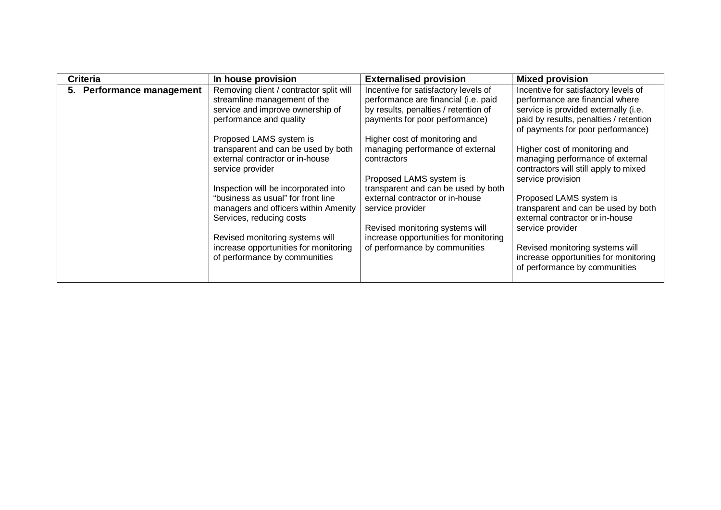| <b>Criteria</b>           | In house provision                                                                                                                                                                                                                                                                                                                                                                                                                                                                                                             | <b>Externalised provision</b>                                                                                                                                                                                                                                                                                                                                                                                                                                                    | <b>Mixed provision</b>                                                                                                                                                                                                                                                                                                                                                                                                                                                                                                                                                  |  |  |  |
|---------------------------|--------------------------------------------------------------------------------------------------------------------------------------------------------------------------------------------------------------------------------------------------------------------------------------------------------------------------------------------------------------------------------------------------------------------------------------------------------------------------------------------------------------------------------|----------------------------------------------------------------------------------------------------------------------------------------------------------------------------------------------------------------------------------------------------------------------------------------------------------------------------------------------------------------------------------------------------------------------------------------------------------------------------------|-------------------------------------------------------------------------------------------------------------------------------------------------------------------------------------------------------------------------------------------------------------------------------------------------------------------------------------------------------------------------------------------------------------------------------------------------------------------------------------------------------------------------------------------------------------------------|--|--|--|
| 5. Performance management | Removing client / contractor split will<br>streamline management of the<br>service and improve ownership of<br>performance and quality<br>Proposed LAMS system is<br>transparent and can be used by both<br>external contractor or in-house<br>service provider<br>Inspection will be incorporated into<br>"business as usual" for front line<br>managers and officers within Amenity<br>Services, reducing costs<br>Revised monitoring systems will<br>increase opportunities for monitoring<br>of performance by communities | Incentive for satisfactory levels of<br>performance are financial (i.e. paid<br>by results, penalties / retention of<br>payments for poor performance)<br>Higher cost of monitoring and<br>managing performance of external<br>contractors<br>Proposed LAMS system is<br>transparent and can be used by both<br>external contractor or in-house<br>service provider<br>Revised monitoring systems will<br>increase opportunities for monitoring<br>of performance by communities | Incentive for satisfactory levels of<br>performance are financial where<br>service is provided externally (i.e.<br>paid by results, penalties / retention<br>of payments for poor performance)<br>Higher cost of monitoring and<br>managing performance of external<br>contractors will still apply to mixed<br>service provision<br>Proposed LAMS system is<br>transparent and can be used by both<br>external contractor or in-house<br>service provider<br>Revised monitoring systems will<br>increase opportunities for monitoring<br>of performance by communities |  |  |  |
|                           |                                                                                                                                                                                                                                                                                                                                                                                                                                                                                                                                |                                                                                                                                                                                                                                                                                                                                                                                                                                                                                  |                                                                                                                                                                                                                                                                                                                                                                                                                                                                                                                                                                         |  |  |  |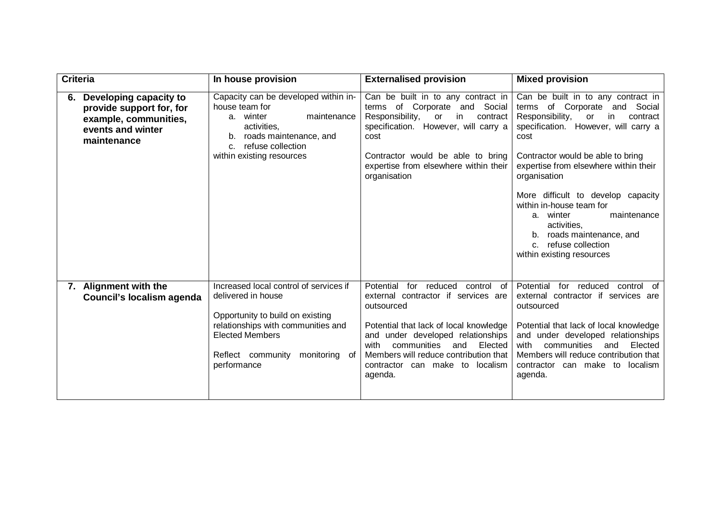| <b>Criteria</b> |                                                                                                                                                                                                                                                                             | In house provision                                                                                                                                                                        | <b>Externalised provision</b>                                                                                                                                                                                                                                                                                 | <b>Mixed provision</b>                                                                                                                                                                                                                                                                                                                                                                                                                                             |  |  |
|-----------------|-----------------------------------------------------------------------------------------------------------------------------------------------------------------------------------------------------------------------------------------------------------------------------|-------------------------------------------------------------------------------------------------------------------------------------------------------------------------------------------|---------------------------------------------------------------------------------------------------------------------------------------------------------------------------------------------------------------------------------------------------------------------------------------------------------------|--------------------------------------------------------------------------------------------------------------------------------------------------------------------------------------------------------------------------------------------------------------------------------------------------------------------------------------------------------------------------------------------------------------------------------------------------------------------|--|--|
|                 | 6. Developing capacity to<br>provide support for, for<br>example, communities,<br>events and winter<br>maintenance                                                                                                                                                          | Capacity can be developed within in-<br>house team for<br>a. winter<br>maintenance<br>activities,<br>roads maintenance, and<br>b.<br>refuse collection<br>C.<br>within existing resources | Can be built in to any contract in<br>terms of Corporate and Social<br>Responsibility,<br>contract<br><b>or</b><br>in.<br>specification. However, will carry a<br>cost<br>Contractor would be able to bring<br>expertise from elsewhere within their<br>organisation                                          | Can be built in to any contract in<br>terms of Corporate and<br>Social<br>Responsibility,<br>or<br>contract<br>in.<br>specification. However, will carry a<br>cost<br>Contractor would be able to bring<br>expertise from elsewhere within their<br>organisation<br>More difficult to develop capacity<br>within in-house team for<br>maintenance<br>winter<br>a.<br>activities,<br>b. roads maintenance, and<br>c. refuse collection<br>within existing resources |  |  |
|                 | Increased local control of services if<br>7. Alignment with the<br>delivered in house<br>Council's localism agenda<br>Opportunity to build on existing<br>relationships with communities and<br><b>Elected Members</b><br>Reflect community<br>monitoring of<br>performance |                                                                                                                                                                                           | Potential<br>for reduced<br>control<br>of<br>external contractor if services are<br>outsourced<br>Potential that lack of local knowledge<br>and under developed relationships<br>communities<br>and<br>Elected<br>with<br>Members will reduce contribution that<br>contractor can make to localism<br>agenda. | Potential<br>for reduced<br>control of<br>external contractor if services are<br>outsourced<br>Potential that lack of local knowledge<br>and under developed relationships<br>communities<br>Elected<br>with<br>and<br>Members will reduce contribution that<br>contractor can make to localism<br>agenda.                                                                                                                                                         |  |  |